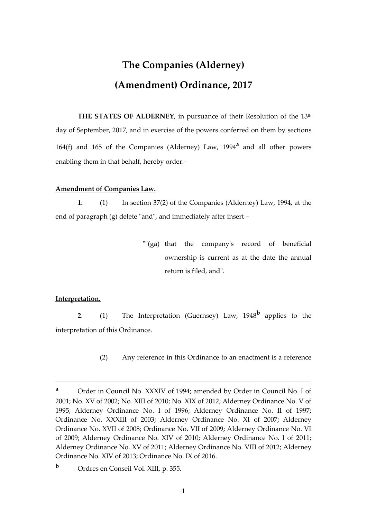## **The Companies (Alderney) (Amendment) Ordinance, 2017**

**THE STATES OF ALDERNEY, in pursuance of their Resolution of the 13<sup>th</sup>** day of September, 2017, and in exercise of the powers conferred on them by sections 164(f) and 165 of the Companies (Alderney) Law, 1994**<sup>a</sup>** and all other powers enabling them in that behalf, hereby order:-

## **Amendment of Companies Law.**

**1.** (1) In section 37(2) of the Companies (Alderney) Law, 1994, at the end of paragraph (g) delete "and", and immediately after insert –

> ""(ga) that the company's record of beneficial ownership is current as at the date the annual return is filed, and".

## **Interpretation.**

**2**. (1) The Interpretation (Guernsey) Law, 1948**<sup>b</sup>** applies to the interpretation of this Ordinance.

(2) Any reference in this Ordinance to an enactment is a reference

\_\_\_\_\_\_\_\_\_\_\_\_\_\_\_\_\_\_\_\_\_\_\_\_\_\_\_\_\_\_\_\_\_\_\_\_\_\_\_\_\_\_\_\_\_\_\_\_\_\_\_\_\_\_\_\_\_\_\_\_\_\_\_\_\_\_\_\_\_

**<sup>a</sup>** Order in Council No. XXXIV of 1994; amended by Order in Council No. I of 2001; No. XV of 2002; No. XIII of 2010; No. XIX of 2012; Alderney Ordinance No. V of 1995; Alderney Ordinance No. I of 1996; Alderney Ordinance No. II of 1997; Ordinance No. XXXIII of 2003; Alderney Ordinance No. XI of 2007; Alderney Ordinance No. XVII of 2008; Ordinance No. VII of 2009; Alderney Ordinance No. VI of 2009; Alderney Ordinance No. XIV of 2010; Alderney Ordinance No. I of 2011; Alderney Ordinance No. XV of 2011; Alderney Ordinance No. VIII of 2012; Alderney Ordinance No. XIV of 2013; Ordinance No. IX of 2016.

**<sup>b</sup>** Ordres en Conseil Vol. XIII, p. 355.